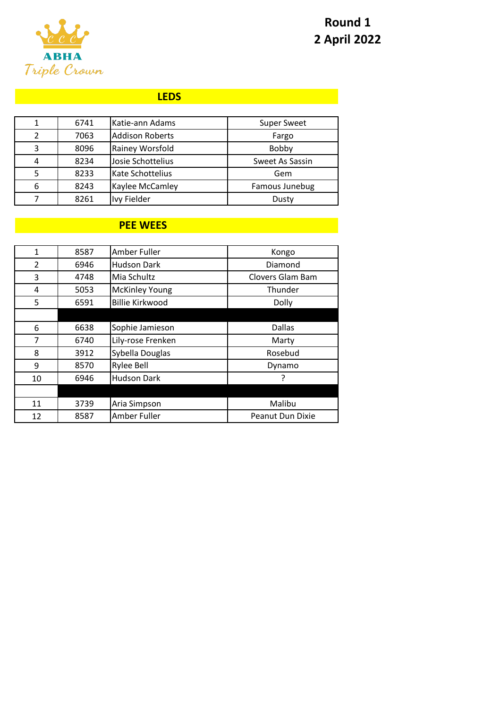

# **Round 1 2 April 2022**

#### **LEDS**

|   | 6741 | Katie-ann Adams        | <b>Super Sweet</b> |
|---|------|------------------------|--------------------|
|   | 7063 | <b>Addison Roberts</b> | Fargo              |
| 3 | 8096 | Rainey Worsfold        | Bobby              |
| 4 | 8234 | Josie Schottelius      | Sweet As Sassin    |
|   | 8233 | Kate Schottelius       | Gem                |
| 6 | 8243 | Kaylee McCamley        | Famous Junebug     |
|   | 8261 | Ivy Fielder            | Dusty              |

## **PEE WEES**

| 1              | 8587 | Amber Fuller           | Kongo                   |
|----------------|------|------------------------|-------------------------|
| $\mathfrak{p}$ | 6946 | <b>Hudson Dark</b>     | Diamond                 |
| 3              | 4748 | Mia Schultz            | Clovers Glam Bam        |
| 4              | 5053 | <b>McKinley Young</b>  | Thunder                 |
| 5              | 6591 | <b>Billie Kirkwood</b> | Dolly                   |
|                |      |                        |                         |
| 6              | 6638 | Sophie Jamieson        | <b>Dallas</b>           |
| 7              | 6740 | Lily-rose Frenken      | Marty                   |
| 8              | 3912 | Sybella Douglas        | Rosebud                 |
| 9              | 8570 | <b>Rylee Bell</b>      | Dynamo                  |
| 10             | 6946 | <b>Hudson Dark</b>     |                         |
|                |      |                        |                         |
| 11             | 3739 | Aria Simpson           | Malibu                  |
| 12             | 8587 | Amber Fuller           | <b>Peanut Dun Dixie</b> |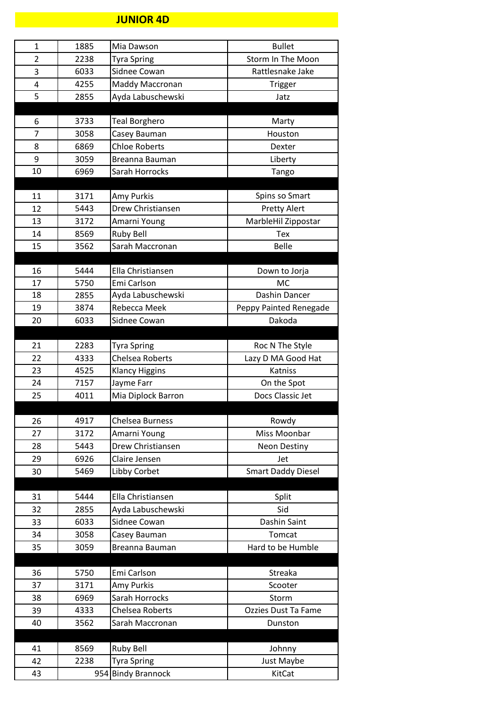#### **JUNIOR 4D**

| $\mathbf{1}$   | 1885 | Mia Dawson                               | <b>Bullet</b>             |
|----------------|------|------------------------------------------|---------------------------|
| $\overline{2}$ | 2238 | <b>Tyra Spring</b>                       | Storm In The Moon         |
| 3              | 6033 | Sidnee Cowan                             | Rattlesnake Jake          |
| 4              | 4255 | Maddy Maccronan                          | Trigger                   |
| 5              | 2855 | Ayda Labuschewski                        | Jatz                      |
|                |      |                                          |                           |
| 6              | 3733 | <b>Teal Borghero</b>                     | Marty                     |
| 7              | 3058 | Casey Bauman                             | Houston                   |
| 8              | 6869 | <b>Chloe Roberts</b>                     | Dexter                    |
| 9              | 3059 | Breanna Bauman                           | Liberty                   |
| 10             | 6969 | Sarah Horrocks                           | Tango                     |
|                |      |                                          |                           |
| 11             | 3171 | Amy Purkis                               | Spins so Smart            |
| 12             | 5443 | Drew Christiansen                        | <b>Pretty Alert</b>       |
| 13             | 3172 | Amarni Young                             | MarbleHil Zippostar       |
| 14             | 8569 | <b>Ruby Bell</b>                         | Tex                       |
| 15             | 3562 | Sarah Maccronan                          | <b>Belle</b>              |
|                |      |                                          |                           |
| 16             | 5444 | Ella Christiansen                        | Down to Jorja             |
| 17             | 5750 | Emi Carlson                              | <b>MC</b>                 |
| 18             | 2855 | Ayda Labuschewski                        | Dashin Dancer             |
| 19             | 3874 | Rebecca Meek                             | Peppy Painted Renegade    |
| 20             | 6033 | Sidnee Cowan                             | Dakoda                    |
|                |      |                                          |                           |
| 21             | 2283 | <b>Tyra Spring</b>                       | Roc N The Style           |
| 22             | 4333 | <b>Chelsea Roberts</b>                   | Lazy D MA Good Hat        |
| 23             | 4525 | <b>Klancy Higgins</b>                    | Katniss                   |
| 24             | 7157 | Jayme Farr                               | On the Spot               |
| 25             | 4011 | Mia Diplock Barron                       | Docs Classic Jet          |
|                |      |                                          |                           |
|                |      |                                          |                           |
|                | 4917 | <b>Chelsea Burness</b>                   |                           |
| 26             |      |                                          | Rowdy                     |
| 27             | 3172 | Amarni Young                             | Miss Moonbar              |
| 28             | 5443 | Drew Christiansen                        | Neon Destiny              |
| 29             | 6926 | Claire Jensen                            | Jet                       |
| 30             | 5469 | Libby Corbet                             | <b>Smart Daddy Diesel</b> |
|                |      |                                          |                           |
| 31             | 5444 | Ella Christiansen                        | Split                     |
| 32             | 2855 | Ayda Labuschewski                        | Sid                       |
| 33             | 6033 | Sidnee Cowan                             | Dashin Saint              |
| 34             | 3058 | Casey Bauman                             | Tomcat                    |
| 35             | 3059 | Breanna Bauman                           | Hard to be Humble         |
|                |      |                                          |                           |
| 36             | 5750 | Emi Carlson                              | Streaka                   |
| 37             | 3171 | Amy Purkis                               | Scooter                   |
| 38             | 6969 | Sarah Horrocks                           | Storm                     |
| 39             | 4333 | Chelsea Roberts                          | Ozzies Dust Ta Fame       |
| 40             | 3562 | Sarah Maccronan                          | Dunston                   |
|                |      |                                          |                           |
| 41             | 8569 | <b>Ruby Bell</b>                         | Johnny                    |
| 42<br>43       | 2238 | <b>Tyra Spring</b><br>954 Bindy Brannock | Just Maybe<br>KitCat      |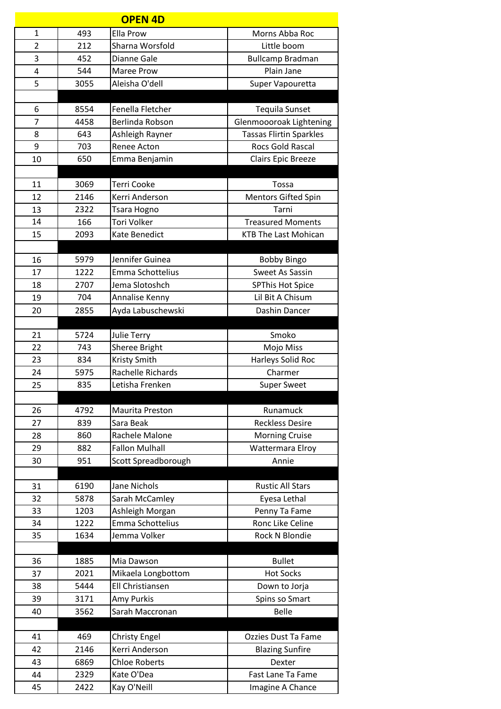|                |      | <b>OPEN 4D</b>         |                                |
|----------------|------|------------------------|--------------------------------|
| $\mathbf{1}$   | 493  | Ella Prow              | Morns Abba Roc                 |
| $\overline{2}$ | 212  | Sharna Worsfold        | Little boom                    |
| 3              | 452  | Dianne Gale            | <b>Bullcamp Bradman</b>        |
| 4              | 544  | Maree Prow             | Plain Jane                     |
| 5              | 3055 | Aleisha O'dell         | Super Vapouretta               |
|                |      |                        |                                |
| 6              | 8554 | Fenella Fletcher       | <b>Tequila Sunset</b>          |
| 7              | 4458 | Berlinda Robson        | Glenmoooroak Lightening        |
| 8              | 643  | Ashleigh Rayner        | <b>Tassas Flirtin Sparkles</b> |
| 9              | 703  | Renee Acton            | <b>Rocs Gold Rascal</b>        |
| 10             | 650  | Emma Benjamin          | Clairs Epic Breeze             |
|                |      |                        |                                |
| 11             | 3069 | <b>Terri Cooke</b>     | Tossa                          |
| 12             | 2146 | Kerri Anderson         | <b>Mentors Gifted Spin</b>     |
| 13             | 2322 | Tsara Hogno            | Tarni                          |
| 14             | 166  | <b>Tori Volker</b>     | <b>Treasured Moments</b>       |
| 15             | 2093 | Kate Benedict          | <b>KTB The Last Mohican</b>    |
|                |      |                        |                                |
| 16             | 5979 | Jennifer Guinea        | <b>Bobby Bingo</b>             |
| 17             | 1222 | Emma Schottelius       | Sweet As Sassin                |
| 18             | 2707 | Jema Slotoshch         | <b>SPThis Hot Spice</b>        |
| 19             | 704  | Annalise Kenny         | Lil Bit A Chisum               |
| 20             | 2855 | Ayda Labuschewski      | Dashin Dancer                  |
| 21             | 5724 | <b>Julie Terry</b>     | Smoko                          |
| 22             | 743  | Sheree Bright          | Mojo Miss                      |
| 23             | 834  | <b>Kristy Smith</b>    | Harleys Solid Roc              |
| 24             | 5975 | Rachelle Richards      | Charmer                        |
| 25             | 835  | Letisha Frenken        | <b>Super Sweet</b>             |
|                |      |                        |                                |
| 26             | 4792 | <b>Maurita Preston</b> | Runamuck                       |
| 27             | 839  | Sara Beak              | <b>Reckless Desire</b>         |
| 28             | 860  | Rachele Malone         | <b>Morning Cruise</b>          |
| 29             | 882  | <b>Fallon Mulhall</b>  | Wattermara Elroy               |
| 30             | 951  | Scott Spreadborough    | Annie                          |
|                |      |                        |                                |
| 31             | 6190 | Jane Nichols           | <b>Rustic All Stars</b>        |
| 32             | 5878 | Sarah McCamley         | Eyesa Lethal                   |
| 33             | 1203 | Ashleigh Morgan        | Penny Ta Fame                  |
| 34             | 1222 | Emma Schottelius       | Ronc Like Celine               |
| 35             | 1634 | Jemma Volker           | Rock N Blondie                 |
|                |      |                        |                                |
| 36             | 1885 | Mia Dawson             | <b>Bullet</b>                  |
| 37             | 2021 | Mikaela Longbottom     | <b>Hot Socks</b>               |
| 38             | 5444 | Ell Christiansen       | Down to Jorja                  |
| 39             | 3171 | Amy Purkis             | Spins so Smart                 |
| 40             | 3562 | Sarah Maccronan        | <b>Belle</b>                   |
| 41             | 469  | <b>Christy Engel</b>   | Ozzies Dust Ta Fame            |
| 42             | 2146 | Kerri Anderson         | <b>Blazing Sunfire</b>         |
| 43             | 6869 | <b>Chloe Roberts</b>   | Dexter                         |
| 44             | 2329 | Kate O'Dea             | Fast Lane Ta Fame              |
| 45             | 2422 | Kay O'Neill            | Imagine A Chance               |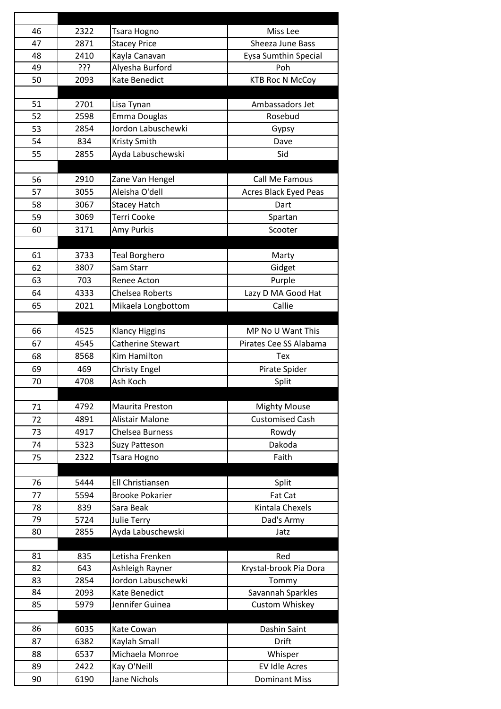| 46       | 2322         | Tsara Hogno                                | Miss Lee                                     |
|----------|--------------|--------------------------------------------|----------------------------------------------|
| 47       | 2871         | <b>Stacey Price</b>                        | Sheeza June Bass                             |
| 48       | 2410         | Kayla Canavan                              | Eysa Sumthin Special                         |
| 49       | ???          | Alyesha Burford                            | Poh                                          |
| 50       | 2093         | Kate Benedict                              | <b>KTB Roc N McCoy</b>                       |
|          |              |                                            |                                              |
| 51       | 2701         | Lisa Tynan                                 | Ambassadors Jet                              |
| 52       | 2598         | Emma Douglas                               | Rosebud                                      |
| 53       | 2854         | Jordon Labuschewki                         | Gypsy                                        |
| 54       | 834          | <b>Kristy Smith</b>                        | Dave                                         |
| 55       | 2855         | Ayda Labuschewski                          | Sid                                          |
|          |              |                                            |                                              |
| 56       | 2910         | Zane Van Hengel                            | Call Me Famous                               |
| 57       | 3055         | Aleisha O'dell                             | Acres Black Eyed Peas                        |
| 58       | 3067         | <b>Stacey Hatch</b>                        | Dart                                         |
| 59       | 3069         | <b>Terri Cooke</b>                         | Spartan                                      |
| 60       | 3171         | Amy Purkis                                 | Scooter                                      |
|          |              |                                            |                                              |
| 61       | 3733         | <b>Teal Borghero</b>                       | Marty                                        |
| 62       | 3807         | Sam Starr                                  | Gidget                                       |
| 63       | 703          | Renee Acton                                | Purple                                       |
| 64       | 4333         | <b>Chelsea Roberts</b>                     | Lazy D MA Good Hat                           |
| 65       | 2021         | Mikaela Longbottom                         | Callie                                       |
|          |              |                                            |                                              |
| 66<br>67 | 4525         | <b>Klancy Higgins</b><br>Catherine Stewart | MP No U Want This                            |
|          | 4545         |                                            | Pirates Cee SS Alabama                       |
|          |              |                                            |                                              |
| 68       | 8568         | Kim Hamilton                               | Tex                                          |
| 69       | 469          | <b>Christy Engel</b>                       | Pirate Spider                                |
| 70       | 4708         | Ash Koch                                   | Split                                        |
|          |              |                                            |                                              |
| 71       | 4792         | Maurita Preston                            | <b>Mighty Mouse</b>                          |
| 72       | 4891         | Alistair Malone                            | <b>Customised Cash</b>                       |
| 73       | 4917         | <b>Chelsea Burness</b>                     | Rowdy                                        |
| 74       | 5323         | <b>Suzy Patteson</b>                       | Dakoda                                       |
| 75       | 2322         | Tsara Hogno                                | Faith                                        |
| 76       |              | <b>Ell Christiansen</b>                    |                                              |
| 77       | 5444<br>5594 | <b>Brooke Pokarier</b>                     | Split<br>Fat Cat                             |
| 78       | 839          | Sara Beak                                  | Kintala Chexels                              |
| 79       | 5724         | Julie Terry                                | Dad's Army                                   |
| 80       | 2855         | Ayda Labuschewski                          | Jatz                                         |
|          |              |                                            |                                              |
| 81       | 835          | Letisha Frenken                            | Red                                          |
| 82       | 643          | Ashleigh Rayner                            | Krystal-brook Pia Dora                       |
| 83       | 2854         | Jordon Labuschewki                         | Tommy                                        |
| 84       | 2093         | Kate Benedict                              | Savannah Sparkles                            |
| 85       | 5979         | Jennifer Guinea                            | Custom Whiskey                               |
|          |              |                                            |                                              |
| 86       | 6035         | Kate Cowan                                 | Dashin Saint                                 |
| 87       | 6382         | Kaylah Small                               | <b>Drift</b>                                 |
| 88       | 6537         | Michaela Monroe                            | Whisper                                      |
| 89<br>90 | 2422<br>6190 | Kay O'Neill<br>Jane Nichols                | <b>EV Idle Acres</b><br><b>Dominant Miss</b> |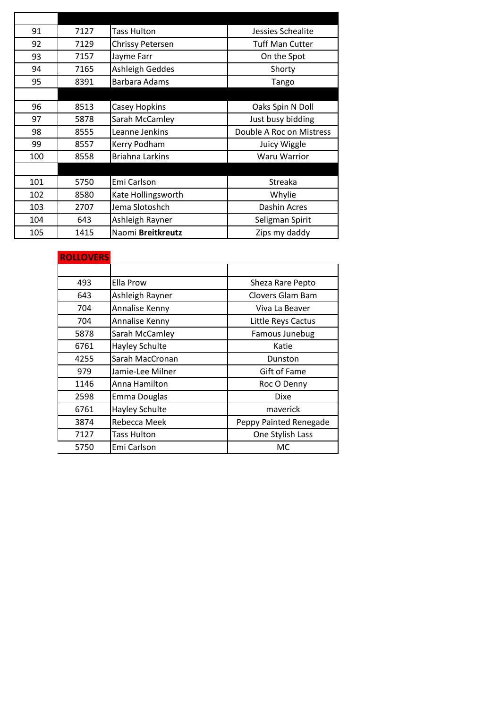| 91  | 7127 | <b>Tass Hulton</b>      | Jessies Schealite        |
|-----|------|-------------------------|--------------------------|
| 92  | 7129 | <b>Chrissy Petersen</b> | <b>Tuff Man Cutter</b>   |
| 93  | 7157 | Jayme Farr              | On the Spot              |
| 94  | 7165 | Ashleigh Geddes         | Shorty                   |
| 95  | 8391 | Barbara Adams           | Tango                    |
|     |      |                         |                          |
| 96  | 8513 | Casey Hopkins           | Oaks Spin N Doll         |
| 97  | 5878 | Sarah McCamley          | Just busy bidding        |
| 98  | 8555 | Leanne Jenkins          | Double A Roc on Mistress |
| 99  | 8557 | Kerry Podham            | Juicy Wiggle             |
| 100 | 8558 | <b>Briahna Larkins</b>  | <b>Waru Warrior</b>      |
|     |      |                         |                          |
| 101 | 5750 | Emi Carlson             | Streaka                  |
| 102 | 8580 | Kate Hollingsworth      | Whylie                   |
| 103 | 2707 | Jema Slotoshch          | Dashin Acres             |
| 104 | 643  | Ashleigh Rayner         | Seligman Spirit          |
| 105 | 1415 | Naomi Breitkreutz       | Zips my daddy            |

### **ROLLOVERS**

| 493  | Ella Prow          | Sheza Rare Pepto       |
|------|--------------------|------------------------|
| 643  | Ashleigh Rayner    | Clovers Glam Bam       |
| 704  | Annalise Kenny     | Viva La Beaver         |
| 704  | Annalise Kenny     | Little Reys Cactus     |
| 5878 | Sarah McCamley     | Famous Junebug         |
| 6761 | Hayley Schulte     | Katie                  |
| 4255 | Sarah MacCronan    | Dunston                |
| 979  | Jamie-Lee Milner   | Gift of Fame           |
| 1146 | Anna Hamilton      | Roc O Denny            |
| 2598 | Emma Douglas       | <b>Dixe</b>            |
| 6761 | Hayley Schulte     | maverick               |
| 3874 | Rebecca Meek       | Peppy Painted Renegade |
| 7127 | <b>Tass Hulton</b> | One Stylish Lass       |
| 5750 | Emi Carlson        | МC                     |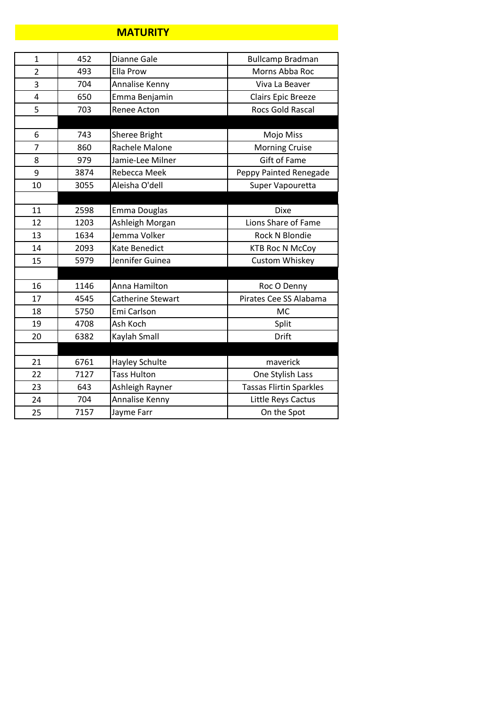#### **MATURITY**

| $\mathbf{1}$   | 452  | Dianne Gale        | <b>Bullcamp Bradman</b>        |
|----------------|------|--------------------|--------------------------------|
| $\overline{2}$ | 493  | <b>Ella Prow</b>   | Morns Abba Roc                 |
| 3              | 704  | Annalise Kenny     | Viva La Beaver                 |
| 4              | 650  | Emma Benjamin      | Clairs Epic Breeze             |
| 5              | 703  | Renee Acton        | <b>Rocs Gold Rascal</b>        |
|                |      |                    |                                |
| 6              | 743  | Sheree Bright      | Mojo Miss                      |
| $\overline{7}$ | 860  | Rachele Malone     | <b>Morning Cruise</b>          |
| 8              | 979  | Jamie-Lee Milner   | <b>Gift of Fame</b>            |
| 9              | 3874 | Rebecca Meek       | Peppy Painted Renegade         |
| 10             | 3055 | Aleisha O'dell     | Super Vapouretta               |
|                |      |                    |                                |
| 11             | 2598 | Emma Douglas       | <b>Dixe</b>                    |
| 12             | 1203 | Ashleigh Morgan    | Lions Share of Fame            |
| 13             | 1634 | Jemma Volker       | <b>Rock N Blondie</b>          |
| 14             | 2093 | Kate Benedict      | <b>KTB Roc N McCoy</b>         |
| 15             | 5979 | Jennifer Guinea    | Custom Whiskey                 |
|                |      |                    |                                |
| 16             | 1146 | Anna Hamilton      | Roc O Denny                    |
| 17             | 4545 | Catherine Stewart  | Pirates Cee SS Alabama         |
| 18             | 5750 | Emi Carlson        | <b>MC</b>                      |
| 19             | 4708 | Ash Koch           | Split                          |
| 20             | 6382 | Kaylah Small       | Drift                          |
|                |      |                    |                                |
| 21             | 6761 | Hayley Schulte     | maverick                       |
| 22             | 7127 | <b>Tass Hulton</b> | One Stylish Lass               |
| 23             | 643  | Ashleigh Rayner    | <b>Tassas Flirtin Sparkles</b> |
| 24             | 704  | Annalise Kenny     | Little Reys Cactus             |
| 25             | 7157 | Jayme Farr         | On the Spot                    |